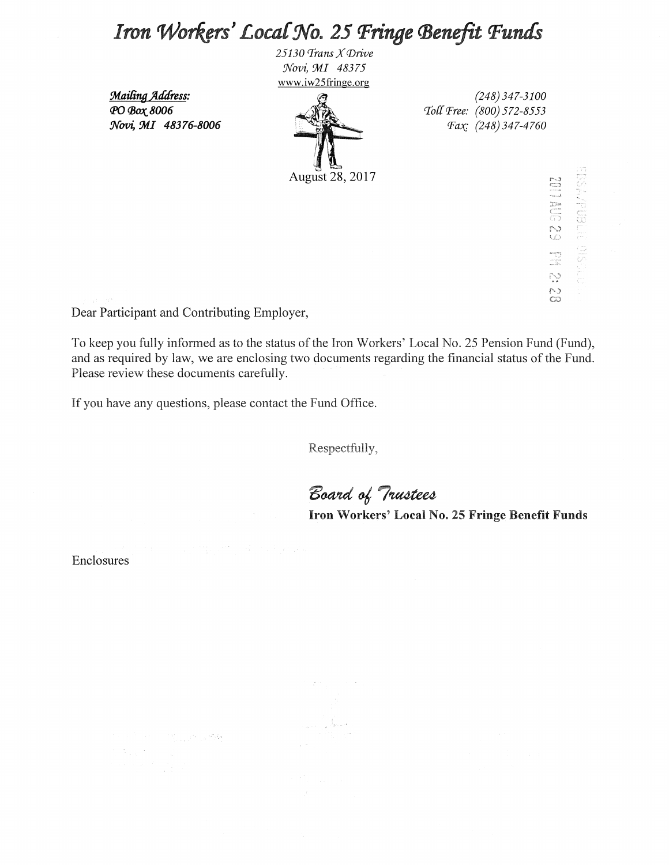# Iron Workers' Local No. 25 Fringe Benefit Funds

25130 Trans X Drive Novi, MI 48375 www.iw25fringe.org

August 28, 2017

Mailing Address: РО Вох 8006 Novi, MI 48376-8006

 $(248)$  347-3100 Toll Free: (800) 572-8553 *Fax*: (248) 347-4760

**CZSSE** 

egy<br>C  $\mathcal{O}^{\mathcal{O}}$  $\frac{1}{\infty}$ 

Dear Participant and Contributing Employer,

To keep you fully informed as to the status of the Iron Workers' Local No. 25 Pension Fund (Fund), and as required by law, we are enclosing two documents regarding the financial status of the Fund. Please review these documents carefully.

If you have any questions, please contact the Fund Office.

Respectfully,

Board of Trustees

Iron Workers' Local No. 25 Fringe Benefit Funds

Enclosures

 $\mathcal{D}_{\mathcal{G}_{\mathcal{A},\mathcal{A},\mathcal{A}}^{\mathcal{A},\mathcal{B}}}\left(\mathcal{F}_{\mathcal{A},\mathcal{A}}^{\mathcal{A},\mathcal{B}}\right)$  for  $\sum_{i=1}^n \sum_{j=1}^n \sum_{j=1}^n \sum_{j=1}^n \sum_{j=1}^n \sum_{j=1}^n \sum_{j=1}^n \sum_{j=1}^n \sum_{j=1}^n \sum_{j=1}^n \sum_{j=1}^n \sum_{j=1}^n \sum_{j=1}^n \sum_{j=1}^n \sum_{j=1}^n \sum_{j=1}^n \sum_{j=1}^n \sum_{j=1}^n \sum_{j=1}^n \sum_{j=1}^n \sum_{j=1}^n \sum_{j=1}^n \sum_{j=1}^n \sum_{j=1}^n \sum_{j$